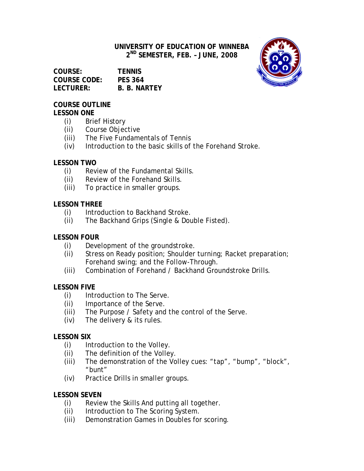### **UNIVERSITY OF EDUCATION OF WINNEBA 2 ND SEMESTER, FEB. – JUNE, 2008**

**COURSE: TENNIS COURSE CODE: PES 364 LECTURER: B. B. NARTEY**



#### **LESSON ONE**

- (i) Brief History
- (ii) Course Objective
- (iii) The Five Fundamentals of Tennis
- (iv) Introduction to the basic skills of the Forehand Stroke.

### **LESSON TWO**

- (i) Review of the Fundamental Skills.
- (ii) Review of the Forehand Skills.
- (iii) To practice in smaller groups.

### **LESSON THREE**

- (i) Introduction to Backhand Stroke.
- (ii) The Backhand Grips (Single & Double Fisted).

### **LESSON FOUR**

- (i) Development of the groundstroke.
- (ii) Stress on Ready position; Shoulder turning; Racket preparation; Forehand swing; and the Follow-Through.
- (iii) Combination of Forehand / Backhand Groundstroke Drills.

### **LESSON FIVE**

- (i) Introduction to The Serve.
- (ii) Importance of the Serve.
- (iii) The Purpose / Safety and the control of the Serve.
- (iv) The delivery & its rules.

### **LESSON SIX**

- (i) Introduction to the Volley.
- (ii) The definition of the Volley.
- (iii) The demonstration of the Volley cues: "tap", "bump", "block", "bunt"
- (iv) Practice Drills in smaller groups.

### **LESSON SEVEN**

- (i) Review the Skills And putting all together.
- (ii) Introduction to The Scoring System.
- (iii) Demonstration Games in Doubles for scoring.

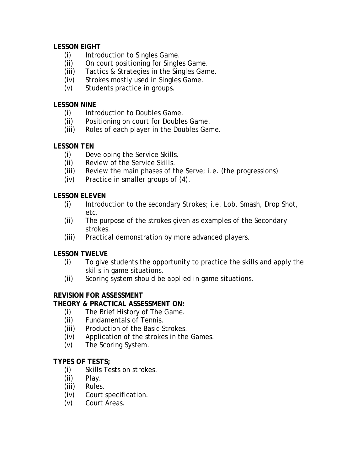## **LESSON EIGHT**

- (i) Introduction to Singles Game.
- (ii) On court positioning for Singles Game.
- (iii) Tactics & Strategies in the Singles Game.
- (iv) Strokes mostly used in Singles Game.
- (v) Students practice in groups.

### **LESSON NINE**

- (i) Introduction to Doubles Game.
- (ii) Positioning on court for Doubles Game.
- (iii) Roles of each player in the Doubles Game.

## **LESSON TEN**

- (i) Developing the Service Skills.
- (ii) Review of the Service Skills.
- (iii) Review the main phases of the Serve; i.e. (the progressions)
- (iv) Practice in smaller groups of (4).

### **LESSON ELEVEN**

- (i) Introduction to the secondary Strokes; i.e. Lob, Smash, Drop Shot, etc.
- (ii) The purpose of the strokes given as examples of the Secondary strokes.
- (iii) Practical demonstration by more advanced players.

# **LESSON TWELVE**

- (i) To give students the opportunity to practice the skills and apply the skills in game situations.
- (ii) Scoring system should be applied in game situations.

# **REVISION FOR ASSESSMENT**

### **THEORY & PRACTICAL ASSESSMENT ON:**

- (i) The Brief History of The Game.
- (ii) Fundamentals of Tennis.
- (iii) Production of the Basic Strokes.
- (iv) Application of the strokes in the Games.
- (v) The Scoring System.

# **TYPES OF TESTS;**

- (i) Skills Tests on strokes.
- (ii) Play.
- (iii) Rules.
- (iv) Court specification.
- (v) Court Areas.